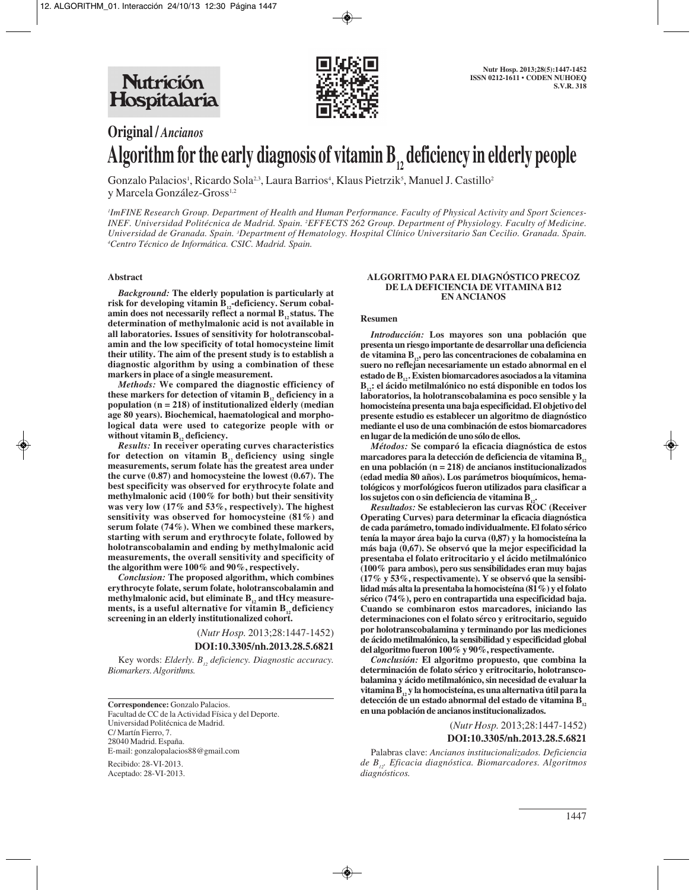

# **Original /** *Ancianos* Algorithm for the early diagnosis of vitamin B<sub>1</sub>, deficiency in elderly people

Gonzalo Palacios<sup>1</sup>, Ricardo Sola<sup>2,3</sup>, Laura Barrios<sup>4</sup>, Klaus Pietrzik<sup>5</sup>, Manuel J. Castillo<sup>2</sup> y Marcela González-Gross<sup>1,2</sup>

*1 ImFINE Research Group. Department of Health and Human Performance. Faculty of Physical Activity and Sport Sciences-INEF. Universidad Politécnica de Madrid. Spain. 2 EFFECTS 262 Group. Department of Physiology. Faculty of Medicine.* Universidad de Granada. Spain. <sup>3</sup>Department of Hematology. Hospital Clínico Universitario San Cecilio. Granada. Spain. *4 Centro Técnico de Informática. CSIC. Madrid. Spain.*

#### **Abstract**

*Background:* **The elderly population is particularly at** risk for developing vitamin B<sub>12</sub>-deficiency. Serum cobalamin does not necessarily reflect a normal B<sub>1</sub> status. The **determination of methylmalonic acid is not available in all laboratories. Issues of sensitivity for holotranscobalamin and the low specificity of total homocysteine limit their utility. The aim of the present study is to establish a diagnostic algorithm by using a combination of these markers in place of a single measurement.** 

*Methods:* **We compared the diagnostic efficiency of** these markers for detection of vitamin  $B_{12}$  deficiency in a **population (n = 218) of institutionalized elderly (median age 80 years). Biochemical, haematological and morphological data were used to categorize people with or** without vitamin B<sub>12</sub> deficiency.

*Results:* **In receiver operating curves characteristics** for detection on vitamin  $B_{12}$  deficiency using single **measurements, serum folate has the greatest area under the curve (0.87) and homocysteine the lowest (0.67). The best specificity was observed for erythrocyte folate and methylmalonic acid (100% for both) but their sensitivity was very low (17% and 53%, respectively). The highest sensitivity was observed for homocysteine (81%) and serum folate (74%). When we combined these markers, starting with serum and erythrocyte folate, followed by holotranscobalamin and ending by methylmalonic acid measurements, the overall sensitivity and specificity of the algorithm were 100% and 90%, respectively.** 

*Conclusion:* **The proposed algorithm, which combines erythrocyte folate, serum folate, holotranscobalamin and** methylmalonic acid, but eliminate B<sub>1</sub>, and tHcy measurements, is a useful alternative for vitamin B<sub>12</sub> deficiency **screening in an elderly institutionalized cohort.**

> (*Nutr Hosp.* 2013;28:1447-1452) **DOI:10.3305/nh.2013.28.5.6821**

Key words: *Elderly. B<sub>12</sub> deficiency. Diagnostic accuracy. Biomarkers. Algorithms.*

**Correspondence:** Gonzalo Palacios. Facultad de CC de la Actividad Física y del Deporte. Universidad Politécnica de Madrid. C/ Martín Fierro, 7. 28040 Madrid. España. E-mail: gonzalopalacios88@gmail.com

Recibido: 28-VI-2013. Aceptado: 28-VI-2013.

#### **ALGORITMO PARA EL DIAGNÓSTICO PRECOZ DE LA DEFICIENCIA DE VITAMINA B12 EN ANCIANOS**

#### **Resumen**

*Introducción:* **Los mayores son una población que presenta un riesgo importante de desarrollar una deficiencia de vitamina B12, pero las concentraciones de cobalamina en suero no reflejan necesariamente un estado abnormal en el estado de B12 . Existen biomarcadores asociados a la vitamina B12: el ácido metilmalónico no está disponible en todos los laboratorios, la holotranscobalamina es poco sensible y la homocisteína presenta una baja especificidad. El objetivo del presente estudio es establecer un algoritmo de diagnóstico mediante el uso de una combinación de estos biomarcadores en lugar de la medición de uno sólo de ellos.**

*Métodos:* **Se comparó la eficacia diagnóstica de estos** marcadores para la detección de deficiencia de vitamina B<sub>12</sub> **en una población (n = 218) de ancianos institucionalizados (edad media 80 años). Los parámetros bioquímicos, hematológicos y morfológicos fueron utilizados para clasificar a** los sujetos con o sin deficiencia de vitamina **B** 

*Resultados:* **Se establecieron las curvas ROC (Receiver Operating Curves) para determinar la eficacia diagnóstica de cada parámetro, tomado individualmente. El folato sérico tenía la mayor área bajo la curva (0,87) y la homocisteína la más baja (0,67). Se observó que la mejor especificidad la presentaba el folato eritrocitario y el ácido metilmalónico (100% para ambos), pero sus sensibilidades eran muy bajas (17% y 53%, respectivamente). Y se observó que la sensibilidad más alta la presentaba la homocisteína (81%) y el folato sérico (74%), pero en contrapartida una especificidad baja. Cuando se combinaron estos marcadores, iniciando las determinaciones con el folato sérco y eritrocitario, seguido por holotranscobalamina y terminando por las mediciones de ácido metilmalónico, la sensibilidad y especificidad global del algoritmo fueron 100% y 90%, respectivamente.**

*Conclusión:* **El algoritmo propuesto, que combina la determinación de folato sérico y eritrocitario, holotranscobalamina y ácido metilmalónico, sin necesidad de evaluar la vitamina B12 y la homocisteína, es una alternativa útil para la** detección de un estado abnormal del estado de vitamina B<sub>12</sub> **en una población de ancianos institucionalizados.**

> (*Nutr Hosp.* 2013;28:1447-1452) **DOI:10.3305/nh.2013.28.5.6821**

Palabras clave: *Ancianos institucionalizados. Deficiencia de B12. Eficacia diagnóstica. Biomarcadores. Algoritmos diagnósticos.*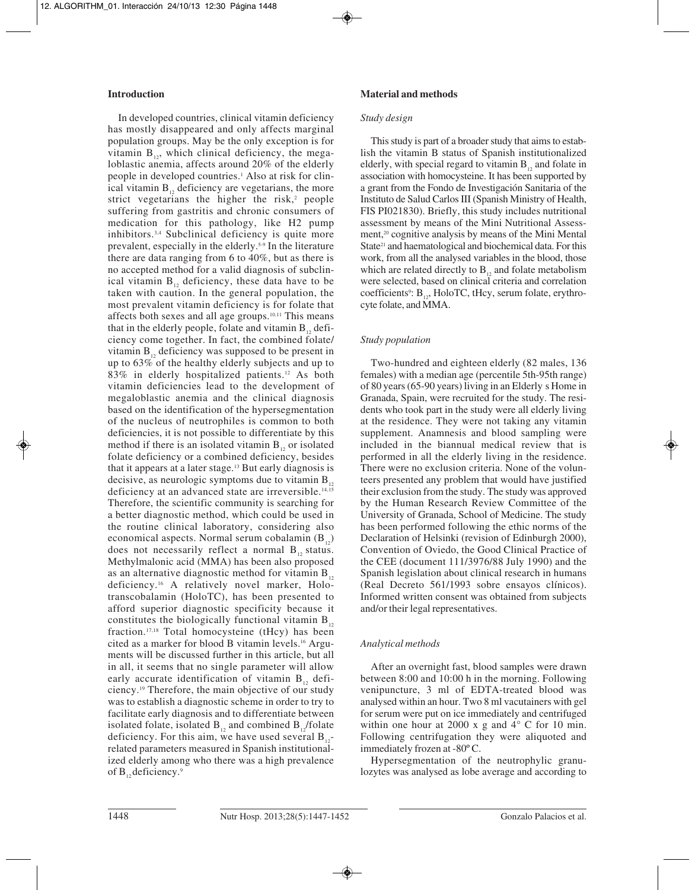# **Introduction**

In developed countries, clinical vitamin deficiency has mostly disappeared and only affects marginal population groups. May be the only exception is for vitamin  $B_{12}$ , which clinical deficiency, the megaloblastic anemia, affects around 20% of the elderly people in developed countries.<sup>1</sup> Also at risk for clinical vitamin  $B_{12}$  deficiency are vegetarians, the more strict vegetarians the higher the risk, $2$  people suffering from gastritis and chronic consumers of medication for this pathology, like H2 pump inhibitors.3,4 Subclinical deficiency is quite more prevalent, especially in the elderly.5-9 In the literature there are data ranging from 6 to 40%, but as there is no accepted method for a valid diagnosis of subclinical vitamin  $B_{12}$  deficiency, these data have to be taken with caution. In the general population, the most prevalent vitamin deficiency is for folate that affects both sexes and all age groups.10,11 This means that in the elderly people, folate and vitamin  $B_{12}$  deficiency come together. In fact, the combined folate/ vitamin  $B_{12}$  deficiency was supposed to be present in up to 63% of the healthy elderly subjects and up to 83% in elderly hospitalized patients.12 As both vitamin deficiencies lead to the development of megaloblastic anemia and the clinical diagnosis based on the identification of the hypersegmentation of the nucleus of neutrophiles is common to both deficiencies, it is not possible to differentiate by this method if there is an isolated vitamin  $B_{12}$  or isolated folate deficiency or a combined deficiency, besides that it appears at a later stage.13 But early diagnosis is decisive, as neurologic symptoms due to vitamin  $B_{12}$ deficiency at an advanced state are irreversible.<sup>14,15</sup> Therefore, the scientific community is searching for a better diagnostic method, which could be used in the routine clinical laboratory, considering also economical aspects. Normal serum cobalamin  $(B_{12})$ does not necessarily reflect a normal  $B_{12}$  status. Methylmalonic acid (MMA) has been also proposed as an alternative diagnostic method for vitamin  $B_{12}$ deficiency.16 A relatively novel marker, Holotranscobalamin (HoloTC), has been presented to afford superior diagnostic specificity because it constitutes the biologically functional vitamin  $B_{12}$ fraction.17,18 Total homocysteine (tHcy) has been cited as a marker for blood B vitamin levels.16 Arguments will be discussed further in this article, but all in all, it seems that no single parameter will allow early accurate identification of vitamin  $B_{12}$  deficiency.19 Therefore, the main objective of our study was to establish a diagnostic scheme in order to try to facilitate early diagnosis and to differentiate between isolated folate, isolated  $B_{12}$  and combined  $B_{12}$ /folate deficiency. For this aim, we have used several  $B_{12}$ related parameters measured in Spanish institutionalized elderly among who there was a high prevalence of  $B_{12}$  deficiency.<sup>9</sup>

# **Material and methods**

#### *Study design*

This study is part of a broader study that aims to establish the vitamin B status of Spanish institutionalized elderly, with special regard to vitamin  $B_{12}$  and folate in association with homocysteine. It has been supported by a grant from the Fondo de Investigación Sanitaria of the Instituto de Salud Carlos III (Spanish Ministry of Health, FIS PI021830). Briefly, this study includes nutritional assessment by means of the Mini Nutritional Assessment,20 cognitive analysis by means of the Mini Mental State<sup>21</sup> and haematological and biochemical data. For this work, from all the analysed variables in the blood, those which are related directly to  $B_{12}$  and folate metabolism were selected, based on clinical criteria and correlation coefficients<sup>9</sup>:  $B_{12}$ , HoloTC, tHcy, serum folate, erythrocyte folate, and MMA.

# *Study population*

Two-hundred and eighteen elderly (82 males, 136 females) with a median age (percentile 5th-95th range) of 80 years (65-90 years) living in an Elderly s Home in Granada, Spain, were recruited for the study. The residents who took part in the study were all elderly living at the residence. They were not taking any vitamin supplement. Anamnesis and blood sampling were included in the biannual medical review that is performed in all the elderly living in the residence. There were no exclusion criteria. None of the volunteers presented any problem that would have justified their exclusion from the study. The study was approved by the Human Research Review Committee of the University of Granada, School of Medicine. The study has been performed following the ethic norms of the Declaration of Helsinki (revision of Edinburgh 2000), Convention of Oviedo, the Good Clinical Practice of the CEE (document 111/3976/88 July 1990) and the Spanish legislation about clinical research in humans (Real Decreto 561/1993 sobre ensayos clínicos). Informed written consent was obtained from subjects and/or their legal representatives.

### *Analytical methods*

After an overnight fast, blood samples were drawn between 8:00 and 10:00 h in the morning. Following venipuncture, 3 ml of EDTA-treated blood was analysed within an hour. Two 8 ml vacutainers with gel for serum were put on ice immediately and centrifuged within one hour at 2000 x g and  $4^{\circ}$  C for 10 min. Following centrifugation they were aliquoted and immediately frozen at -80º C.

Hypersegmentation of the neutrophylic granulozytes was analysed as lobe average and according to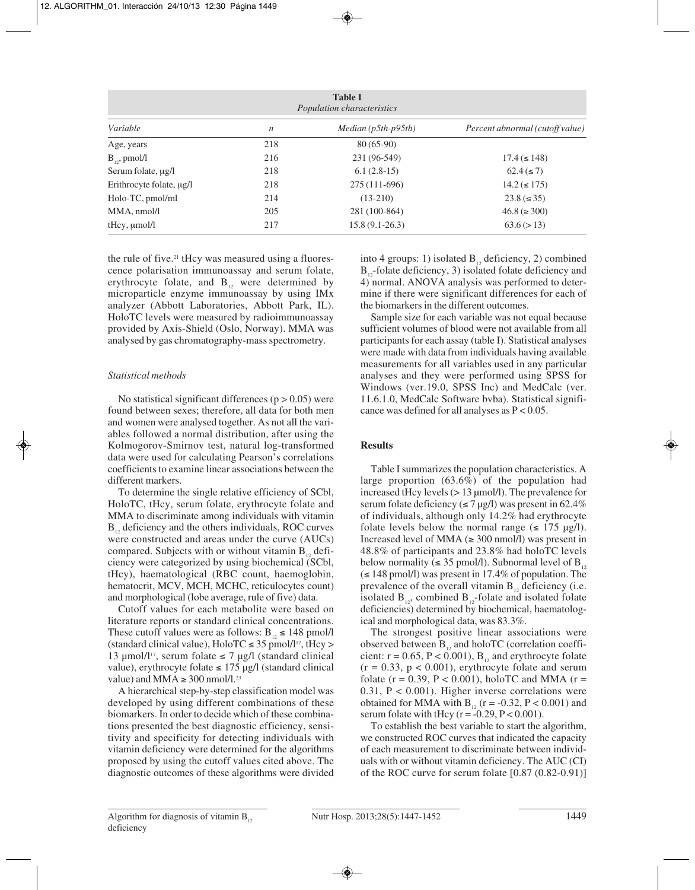| <b>Table I</b><br>Population characteristics |                  |                       |                                 |  |  |  |
|----------------------------------------------|------------------|-----------------------|---------------------------------|--|--|--|
| Variable                                     | $\boldsymbol{n}$ | $Median (p5th-p95th)$ | Percent abnormal (cutoff value) |  |  |  |
| Age, years                                   | 218              | $80(65-90)$           |                                 |  |  |  |
| $B_{12}$ , pmol/l                            | 216              | 231 (96-549)          | $17.4 \leq 148$                 |  |  |  |
| Serum folate, $\mu$ g/l                      | 218              | $6.1(2.8-15)$         | $62.4 ( \leq 7)$                |  |  |  |
| Erithrocyte folate, $\mu$ g/l                | 218              | 275 (111-696)         | $14.2 \leq 175$                 |  |  |  |
| Holo-TC, pmol/ml                             | 214              | $(13-210)$            | $23.8 \leq 35$                  |  |  |  |
| MMA, nmol/l                                  | 205              | 281 (100-864)         | $46.8 \approx 300$              |  |  |  |
| $t$ Hcy, $\mu$ mol/l                         | 217              | $15.8(9.1-26.3)$      | 63.6 (> 13)                     |  |  |  |

the rule of five.<sup>21</sup> tHcy was measured using a fluorescence polarisation immunoassay and serum folate, erythrocyte folate, and  $B_{12}$  were determined by microparticle enzyme immunoassay by using IMx analyzer (Abbott Laboratories, Abbott Park, IL). HoloTC levels were measured by radioimmunoassay provided by Axis-Shield (Oslo, Norway). MMA was analysed by gas chromatography-mass spectrometry.

### *Statistical methods*

No statistical significant differences  $(p > 0.05)$  were found between sexes; therefore, all data for both men and women were analysed together. As not all the variables followed a normal distribution, after using the Kolmogorov-Smirnov test, natural log-transformed data were used for calculating Pearson's correlations coefficients to examine linear associations between the different markers.

To determine the single relative efficiency of SCbl, HoloTC, tHcy, serum folate, erythrocyte folate and MMA to discriminate among individuals with vitamin  $B_{12}$ , deficiency and the others individuals, ROC curves were constructed and areas under the curve (AUCs) compared. Subjects with or without vitamin  $B_{12}$  deficiency were categorized by using biochemical (SCbl, tHcy), haematological (RBC count, haemoglobin, hematocrit, MCV, MCH, MCHC, reticulocytes count) and morphological (lobe average, rule of five) data.

Cutoff values for each metabolite were based on literature reports or standard clinical concentrations. These cutoff values were as follows:  $B_{12} \le 148$  pmol/l (standard clinical value),  $HoloTC \leq 35$  pmol/l<sup>17</sup>, tHcy > 13 µmol/l<sup>17</sup>, serum folate  $\leq$  7 µg/l (standard clinical value), erythrocyte folate  $\leq$  175 µg/l (standard clinical value) and MMA  $\geq$  300 nmol/l.<sup>23</sup>

A hierarchical step-by-step classification model was developed by using different combinations of these biomarkers. In order to decide which of these combinations presented the best diagnostic efficiency, sensitivity and specificity for detecting individuals with vitamin deficiency were determined for the algorithms proposed by using the cutoff values cited above. The diagnostic outcomes of these algorithms were divided into 4 groups: 1) isolated  $B_1$ , deficiency, 2) combined  $B_{12}$ -folate deficiency, 3) isolated folate deficiency and 4) normal. ANOVA analysis was performed to determine if there were significant differences for each of the biomarkers in the different outcomes.

Sample size for each variable was not equal because sufficient volumes of blood were not available from all participants for each assay (table I). Statistical analyses were made with data from individuals having available measurements for all variables used in any particular analyses and they were performed using SPSS for Windows (ver.19.0, SPSS Inc) and MedCalc (ver. 11.6.1.0, MedCalc Software bvba). Statistical significance was defined for all analyses as  $P < 0.05$ .

# **Results**

Table I summarizes the population characteristics. A large proportion (63.6%) of the population had increased tHcy levels (> 13 µmol/l). The prevalence for serum folate deficiency ( $\leq$  7 µg/l) was present in 62.4% of individuals, although only 14.2% had erythrocyte folate levels below the normal range  $(\leq 175 \text{ µg/l}).$ Increased level of MMA  $(\geq 300 \text{ nmol/l})$  was present in 48.8% of participants and 23.8% had holoTC levels below normality ( $\leq$  35 pmol/l). Subnormal level of B<sub>12</sub> (≤ 148 pmol/l) was present in 17.4% of population. The prevalence of the overall vitamin  $B_{12}$  deficiency (i.e. isolated  $B_{12}$ , combined  $B_{12}$ -folate and isolated folate deficiencies) determined by biochemical, haematological and morphological data, was 83.3%.

The strongest positive linear associations were observed between  $B_{12}$  and holoTC (correlation coefficient:  $r = 0.65$ ,  $P < 0.001$ ),  $B<sub>12</sub>$  and erythrocyte folate  $(r = 0.33, p < 0.001)$ , erythrocyte folate and serum folate ( $r = 0.39$ ,  $P < 0.001$ ), holoTC and MMA ( $r =$ 0.31, P < 0.001). Higher inverse correlations were obtained for MMA with  $B_{12}$  (r = -0.32, P < 0.001) and serum folate with tHcy  $(r = -0.29, P < 0.001)$ .

To establish the best variable to start the algorithm, we constructed ROC curves that indicated the capacity of each measurement to discriminate between individuals with or without vitamin deficiency. The AUC (CI) of the ROC curve for serum folate [0.87 (0.82-0.91)]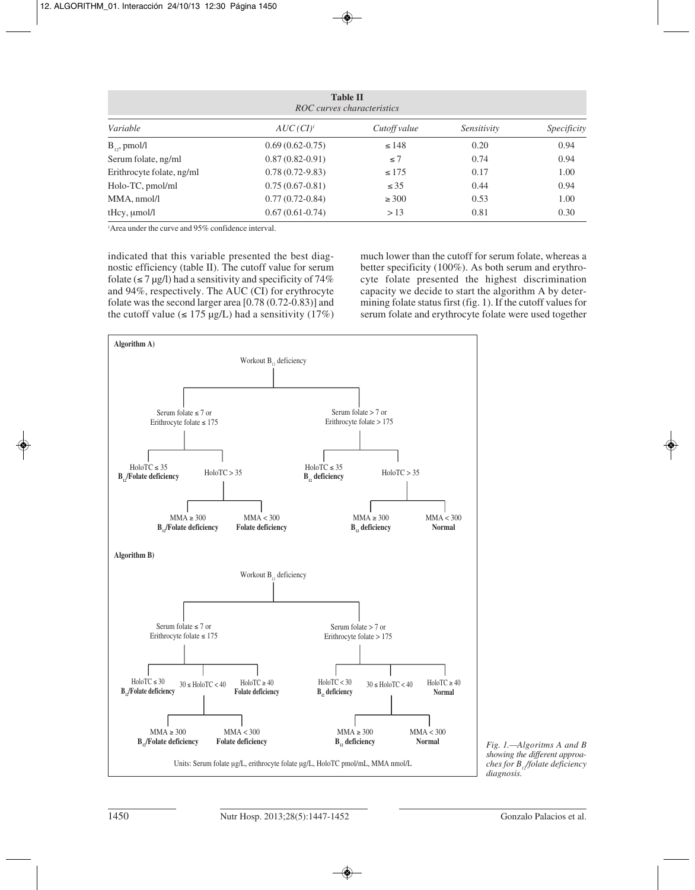| <b>Table II</b><br>ROC curves characteristics |                     |              |             |             |  |  |  |
|-----------------------------------------------|---------------------|--------------|-------------|-------------|--|--|--|
| Variable                                      | $AUC(CI)^t$         | Cutoff value | Sensitivity | Specificity |  |  |  |
| $B_{\nu}$ , pmol/l                            | $0.69(0.62-0.75)$   | $\leq 148$   | 0.20        | 0.94        |  |  |  |
| Serum folate, ng/ml                           | $0.87(0.82-0.91)$   | $\leq 7$     | 0.74        | 0.94        |  |  |  |
| Erithrocyte folate, ng/ml                     | $0.78(0.72 - 9.83)$ | $\leq 175$   | 0.17        | 1.00        |  |  |  |
| Holo-TC, pmol/ml                              | $0.75(0.67-0.81)$   | $\leq 35$    | 0.44        | 0.94        |  |  |  |
| MMA, nmol/l                                   | $0.77(0.72-0.84)$   | $\geq 300$   | 0.53        | 1.00        |  |  |  |
| $tHcy$ , $\mu$ mol/l                          | $0.67(0.61-0.74)$   | >13          | 0.81        | 0.30        |  |  |  |

1 Area under the curve and 95% confidence interval.

indicated that this variable presented the best diagnostic efficiency (table II). The cutoff value for serum folate ( $\leq$  7 µg/l) had a sensitivity and specificity of 74% and 94%, respectively. The AUC (CI) for erythrocyte folate was the second larger area [0.78 (0.72-0.83)] and the cutoff value ( $\leq$  175 µg/L) had a sensitivity (17%) much lower than the cutoff for serum folate, whereas a better specificity (100%). As both serum and erythrocyte folate presented the highest discrimination capacity we decide to start the algorithm A by determining folate status first (fig. 1). If the cutoff values for serum folate and erythrocyte folate were used together



*Fig. 1.—Algoritms A and B showing the different approa ches for B12/folate deficiency diagnosis.*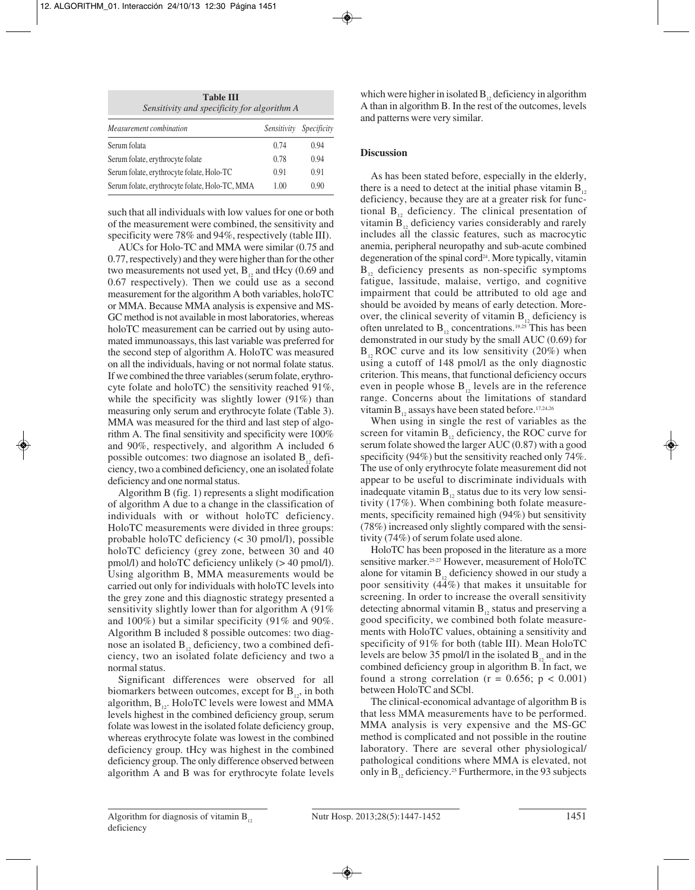**Table III** *Sensitivity and specificity for algorithm A*

| Measurement combination                        | Sensitivity | <i>Specificity</i> |
|------------------------------------------------|-------------|--------------------|
| Serum folata                                   | 0.74        | 0.94               |
| Serum folate, erythrocyte folate               | 0.78        | 0.94               |
| Serum folate, erythrocyte folate, Holo-TC      | 0.91        | 0.91               |
| Serum folate, erythrocyte folate, Holo-TC, MMA | 1.00        | 0.90               |

such that all individuals with low values for one or both of the measurement were combined, the sensitivity and specificity were 78% and 94%, respectively (table III).

AUCs for Holo-TC and MMA were similar (0.75 and 0.77, respectively) and they were higher than for the other two measurements not used yet,  $B_{12}$  and tHcy (0.69 and 0.67 respectively). Then we could use as a second measurement for the algorithm A both variables, holoTC or MMA. Because MMA analysis is expensive and MS-GC method is not available in most laboratories, whereas holoTC measurement can be carried out by using automated immunoassays, this last variable was preferred for the second step of algorithm A. HoloTC was measured on all the individuals, having or not normal folate status. If we combined the three variables (serum folate, erythrocyte folate and holoTC) the sensitivity reached 91%, while the specificity was slightly lower (91%) than measuring only serum and erythrocyte folate (Table 3). MMA was measured for the third and last step of algorithm A. The final sensitivity and specificity were 100% and 90%, respectively, and algorithm A included 6 possible outcomes: two diagnose an isolated  $B_{12}$  deficiency, two a combined deficiency, one an isolated folate deficiency and one normal status.

Algorithm B (fig. 1) represents a slight modification of algorithm A due to a change in the classification of individuals with or without holoTC deficiency. HoloTC measurements were divided in three groups: probable holoTC deficiency (< 30 pmol/l), possible holoTC deficiency (grey zone, between 30 and 40 pmol/l) and holoTC deficiency unlikely (> 40 pmol/l). Using algorithm B, MMA measurements would be carried out only for individuals with holoTC levels into the grey zone and this diagnostic strategy presented a sensitivity slightly lower than for algorithm A (91% and 100%) but a similar specificity (91% and 90%. Algorithm B included 8 possible outcomes: two diagnose an isolated  $B_{12}$  deficiency, two a combined deficiency, two an isolated folate deficiency and two a normal status.

Significant differences were observed for all biomarkers between outcomes, except for  $B_{12}$ , in both algorithm,  $B_{12}$ . HoloTC levels were lowest and MMA levels highest in the combined deficiency group, serum folate was lowest in the isolated folate deficiency group, whereas erythrocyte folate was lowest in the combined deficiency group. tHcy was highest in the combined deficiency group. The only difference observed between algorithm A and B was for erythrocyte folate levels which were higher in isolated  $B_{12}$  deficiency in algorithm A than in algorithm B. In the rest of the outcomes, levels and patterns were very similar.

# **Discussion**

As has been stated before, especially in the elderly, there is a need to detect at the initial phase vitamin  $B_{12}$ deficiency, because they are at a greater risk for functional  $B_{12}$  deficiency. The clinical presentation of vitamin  $B_{12}$  deficiency varies considerably and rarely includes all the classic features, such as macrocytic anemia, peripheral neuropathy and sub-acute combined degeneration of the spinal cord<sup>24</sup>. More typically, vitamin  $B_{12}$  deficiency presents as non-specific symptoms fatigue, lassitude, malaise, vertigo, and cognitive impairment that could be attributed to old age and should be avoided by means of early detection. Moreover, the clinical severity of vitamin  $B_{12}$  deficiency is often unrelated to  $B_{12}$  concentrations.<sup>19,25</sup> This has been demonstrated in our study by the small AUC (0.69) for  $B_{12}$  ROC curve and its low sensitivity (20%) when using a cutoff of 148 pmol/l as the only diagnostic criterion. This means, that functional deficiency occurs even in people whose  $B_{12}$  levels are in the reference range. Concerns about the limitations of standard vitamin  $B_{12}$  assays have been stated before.<sup>17,24,26</sup>

When using in single the rest of variables as the screen for vitamin  $B_{12}$  deficiency, the ROC curve for serum folate showed the larger AUC (0.87) with a good specificity (94%) but the sensitivity reached only 74%. The use of only erythrocyte folate measurement did not appear to be useful to discriminate individuals with inadequate vitamin  $B_{12}$  status due to its very low sensitivity (17%). When combining both folate measurements, specificity remained high (94%) but sensitivity (78%) increased only slightly compared with the sensitivity (74%) of serum folate used alone.

HoloTC has been proposed in the literature as a more sensitive marker.<sup>25-27</sup> However, measurement of HoloTC alone for vitamin  $B_{12}$  deficiency showed in our study a poor sensitivity (44%) that makes it unsuitable for screening. In order to increase the overall sensitivity detecting abnormal vitamin  $B_{12}$  status and preserving a good specificity, we combined both folate measurements with HoloTC values, obtaining a sensitivity and specificity of 91% for both (table III). Mean HoloTC levels are below 35 pmol/l in the isolated  $B<sub>12</sub>$  and in the combined deficiency group in algorithm B. In fact, we found a strong correlation ( $r = 0.656$ ;  $p < 0.001$ ) between HoloTC and SCbl.

The clinical-economical advantage of algorithm B is that less MMA measurements have to be performed. MMA analysis is very expensive and the MS-GC method is complicated and not possible in the routine laboratory. There are several other physiological/ pathological conditions where MMA is elevated, not only in  $B_{12}$  deficiency.<sup>25</sup> Furthermore, in the 93 subjects